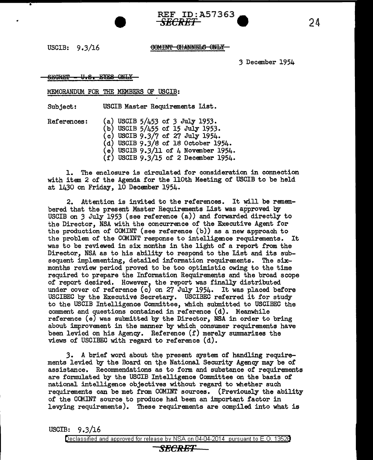USCIB: 9.3/16

#### COMINT CHANNELS ONLY

**REF ID:A57363** 

*3* December 1954

#### U.S. EYES ONLY <del>SEGRET</del>

#### MEMORANDUM. FOR THE MEMBERS OF USCIB:

Subject: USCIB Master Requirements List.

References: (a) USCIB 5/453 of *3* July 1953. (b) USCIB 5/455 of 15 July 1953. (c) USCIB 9.3/7 of 27 July 1954. (d) USCIB 9.3/8 of 18 October 1954. (e) USCIB  $9.3/11$  of 4 November 1954. (f) USCIB 9.3/15 of 2 December 1954.

1. The enclosure is circulated for consideration in connection with item 2 of the Agenda for the llOth Meeting of USCIB to be held at 1430 on Friday, 10 December 1954.

2. Attention is invited to the references. It will be remembered that the present Master Requirements List was approved by USCIB on *3* July 1953 (see reference (a)) and forwarded directly to the Director, NSA with the concurrence of the Executive Agent for the production of COMINT (see reference (b)) as a new approach to the problem of the COMINT response to intelligence requirements. It was to be reviewed in six months in the light of a report from the Director. NSA as to his ability to respond to the List and its subsequent implementing, detailed information requirements. The sixmonths review period proved to be too optimistic owing to the time required to prepare the Information Requirements and the broad scope of report desired. However, the report was finally distributed under cover of reference (c) on 27 July 1954. It was placed before USCIBEC by the Executive Secretary. USCIBEC referred it for study to the USCIB Intelligence Committee, which submitted to USCIBEC the comment and questions contained in reference (d). Meanwhile reference (e) was submitted by the Director, NSA in order to bring about improvement in the manner by which consumer requirements have been levied on his Agency. Reference (f) merely sunnnarizes the views of USCIBEC with regard to reference (d).

3. A brief word about the present system of handling requirements levied by the Board on the National Security Agency may be of assistance. Recommendations as to form and substance of requirements are formulated by the USCIB Intelligence Committee on the basis of national intelligence objectives without regard to whether such requirements can be met from COMINT sources. (Previously the ability of the CCMINT source to produce had been an important factor in levying requirements). These requirements are compiled into what is

USCIB: 9.3/16

Declassified and approved for release by NSA on 04-04-2014 pursuant to E. 0. 1352B *SECRET* 

# 24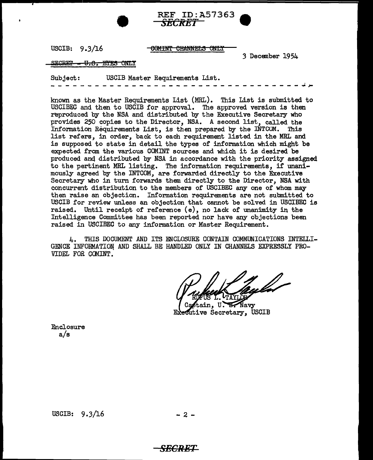USCIB: 9.3/16

<del>COMINT CHANNELS ONLY</del>

*SECRET* 

REF ID:A57363

3 December 1954

--------~,,,\_

#### SECRET - <del>U.S. EYES O</del>NLY

Subject: USCIB Master Requirements List.

known as the Master Requirements List (MRL). This List is submitted to USCIBEC and then to USCIB for approval. The approved version is then reproduced by the NSA and distributed by the Executive Secretary who provides 250 copies to the Director, NSA. A second list, called the Information Requirements List, is then prepared by the INTCOM. This list refers, in order, back to each requirement listed in the MRL and is supposed to state in detail the types of information which might be expected from the various COMINT sources and which it is desired be produced anq distributed by NSA in accordance with the priority assigned to the pertinent MRL listing. The information requirements, if unanimously agreed by the INTCOM, are forwarded directly to the Executive Secretary who in turn forwards them directly to the Director, NSA with concurrent distribution to the members of USCIBEC any one of whom may then raise an objection. Information requirements are not submitted to USCIB for review unless an objection that cannot be solved in USCIBEC is raised. Until receipt of reference (e), no lack of unanimity in the Intelligence Committee has been reported nor have any objections been raised in USCIBEC to any information or Master Requirement.

4. THIS DOCUMENT AND ITS ENCLOSURE CONTAIN COMMUNICATIONS INTELLI-GENCE INFORMATION AND SHALL BE HANDLED ONLY IN CHANNELS EXPRESSLY PRO-VIDEL FOR COMINT.

Navy utive Secretary, USCIB

Enclosure a/s

USCIB:  $9.3/16$  - 2 -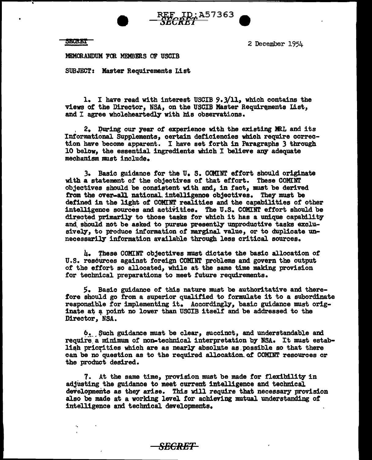SECRET<br>
2 December 1954<br>
MEMORANDUM WOR MEMBERS OF USCUR MEMORANDUM FOR MEMBERS OF USCIB

SUBJECT: Master Requirements List

l. I have read with interest USCIB 9.3/11, which contains the views of the Director, NSA, on the USCIB Master Requirements List, and I agree wholeheartedly with his observations.

*¥ieJBtA51363* 9

2. During our year of experience with the existing MRL and its Informational Supplements, certain deficiencies which require correction have become apparent. I have set forth in Paragraphs 3 through 10 below, the essential ingredients which I believe any adequate mechanism must include.

3. Basic guidance for the U.S. COMINT effort should originate with a statement of the objectives of that effort. These COMINr objectives should be consistent with and, in fact, must be derived from the over-all national intelligence objectives. They must be defined in the light *ot* COMINT realities and the capabilities of other intelligence sources and activities. The U.S. COMINT effort should be directed primarily to those tasks for which it has a unique capability and should not be asked to pursue presently unproductive tasks exclusively, to produce information of marginal value, or to duplicate unnecessarily information available through less critical sources.

h. ~hese COMIHT objectives must dictate the basic allocation *ot*  U.S. resources against foreign COMINT problems and govern the output *ot* the effort so allocated, while at the same time making provision for technical preparations to meet future requirements.

S. Basic guidance of this nature must be authoritative and therefore should go from a superior qualified to formulate it to a subordinate responsible *tor* implementing it. Accordingly, basic guidance must originate at a point no lower than USCIB itself and be addressed to the Director, NSA.

6. Such guidance must be clear, succinct, and understandable and require a minimum of non-technical interpretation by NSA. It must establish priorities which are as nearly absolute as possible so that there can be no question as to the required allocation of COMINT resources or the product desired.

7. At the same time, provision must be made for flexibility in adjusting the guidance to meet current intelligence and technical developments as they arise. This will require that necessary provision al.so be made at a working level for achieving mutual understanding *ot*  intelligence and technical developments.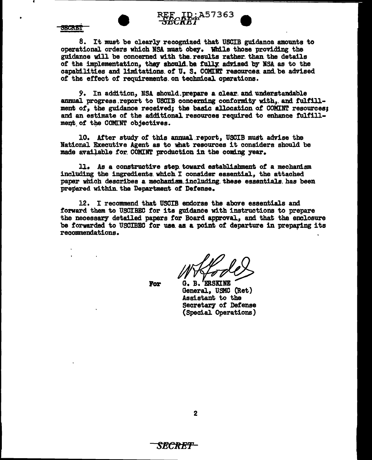

SECRET

8. It must be clearly recognized that USCIB guidance amounts to operational orders which NSA must obey. While those providing the guidance will be concerned with the results rather than the details of the implementation, they should be fully advised by NSA as to the capabilities and limitations of U.S. COMINT resources and be advised of the effect of requirements on technical operations.

A57363

9. In addition, NSA should prepare a clear and understandable annual progress report to USCIB concerning conformity with, and fulfillment of, the guidance received; the basic allocation of COMINT resources; and an estimate of the additional resources required to enhance fulfillment of the COMINT objectives.

10. After study of this annual report. USCIB must advise the National Executive Agent as to what resources it considers should be made available for COMINT production in the coming year.

11. As a constructive step toward establishment of a mechanism including the ingredients which I consider essential, the attached paper which describes a mechanism including these essentials has been prepared within the Department of Defense.

12. I recommend that USCIB endorse the above essentials and forward them to USCIBEC for its guidance with instructions to prepare the necessary detailed papers for Board approval, and that the enclosure be forwarded to USCIBEC for use as a point of departure in preparing its recommendations.

For

G. B. ERSKINE General, USMC (Ret) Assistant to the Secretary of Defense (Special Operations)

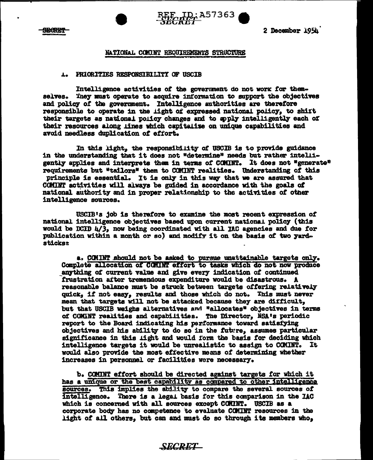



2 December 1954

#### NATIONAL COMINT RECUIREMENTS STRUCTURE

#### **1. PRIORITIES RESPONSIBILITY OF USCIB**

Intelligence activities of the government do not work for themselves. They must operate to acquire information to support the objectives and policy of the government. Intelligence authorities are therefore responsible to operate in the light of expressed national policy, to shift their targets as national policy changes and to apply intelligently each of their resources along lines which capitalize on unique capabilities and avoid needless duplication of effort.

In this light, the responsibility of USCIB is to provide guidance in the understanding that it does not "determine" needs but rather intelligently applies and interprets them in terms of COMINT. It does not "generate" requirements but \*tailors\* them to COMINT realities. Understanding of this principle is essential. It is only in this way that we are assured that CCMINT activities will always be guided in accordance with the goals of national authority and in proper relationship to the activities of other intelligence sources.

USCIB's job is therefore to examine the most recent expression of national intelligence objectives based upon current national policy (this would be DCID  $\frac{1}{3}$ , now being coordinated with all IAC agencies and due for publication within a month or so) and modify it on the basis of two yard*sticks:* 

a. COMINT should not be asked to pursue unattainable targets only. Complete allocation of COMINT effort to tasks which do not now produce anything of current value and give every indication of continued frustration after tremendous expenditure would be disastrous. A reasonable balance must be struck between targets offering relatively quick. if not easy. results and those which do not. This must never mean that targets will not be attacked because they are difficult. but that USCIB weighs alternatives and "allocates" objectives in terms of COMINT realities and capabilities. The Director, NSA's periodic report to the Board indicating his performance toward satisfying objectives and his ability to do so in the future, assumes particular significance in this light and would form the basis for deciding which intelligence targets it would be unrealistic to assign to COMINT. It would also provide the most effective means of determining whether increases in personnel or facilities were necessary.

b. COMINT effort should be directed against targets for which it has a unique or the best capability as compared to other intelligence sources. This implies the ability to compare the several sources of intelligence. There is a legal basis for this comparison in the IAC which is concerned with all sources except COMINT. USCIB as a corporate body has no competence to evaluate COMINT resources in the light of all others, but can and must do so through its members who,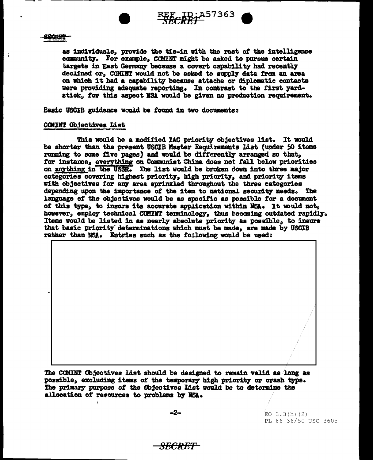



#### SBORET

 $\ddot{1}$ 

as individuals, provide the tie-in with the rest of the intelligence community. For example, COMINT might be asked to pursue certain targets in East Germany because a covert capability had recently declined or. COMINT would not be asked to supply data from an area on which it had a capability because attache or diplomatic contacts were providing adequate reporting. In contrast to the first yardstick. for this aspect NSA would be given no production requirement.

Basic USCIB guidance would be found in two documents:

#### COMINT Objectives List

This would be a modified IAC priority objectives list. It would be shorter than the present USCIB Master Requirements List (under 50 items running to some five pages) and would be differently arranged so that. for instance, everything on Communist China does not fall below priorities on anything in the USSR. The list would be broken down into three major categories covering highest priority. high priority. and priority items with objectives for any area sprinkled throughout the three categories depending upon the importance of the item to national security needs. The language of the objectives would be as specific as possible for a document of this type, to insure its accurate application within NSA. It would not, however, employ technical COMINT terminology, thus becoming outdated rapidly. Items would be listed in as nearly absolute priority as possible, to insure that basic priority determinations which must be made, are made by USCIB rather than NSA. Entries such as the following would be used:

The COMINT Objectives List should be designed to remain valid as long as possible, excluding items of the temporary high priority or crash type. The primary purpose of the Objectives List would be to determine the allocation of resources to problems by NSA.

-2–

 $EO$  3.3(h)(2) PL 86-36/50 USC 3605

# <del>SECRET -</del>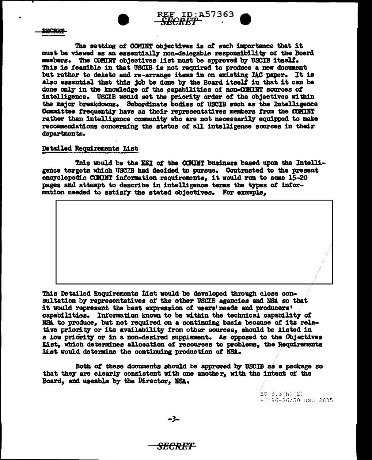



**SECRET** 

The setting of COMINT objectives is of such importance that it must be viewed as an essentially non-delegable responsibility of the Board members. The COMINT objectives list must be approved by USCIB itself. This is feasible in that USCIB is not required to produce a new document but rather to delete and re-arrange items in an existing IAC paper. It is also essential that this job be done by the Board itself in that it can be done only in the knowledge of the capabilities of non-COMINT sources of intelligence. USCIB would set the priority order of the objectives within the major breakdowns. Subordinate bodies of USCIB such as the Intelligence Committee frequently have as their representatives members from the COMINT rather than intelligence community who are not necessarily equipped to make recommendations concerning the status of all intelligence sources in their departments.

iktik it i

#### Detailed Requirements List

This would be the EEI of the COMINT business based upon the Intelligence targets which USCIB had decided to pursue. Contrasted to the present encyclopedic COMINT information requirements, it would run to some 15-20 pages and attempt to describe in intelligence terms the types of information needed to satisfy the stated objectives. For example,

This Detailed Requirements List would be developed through close consultation by representatives of the other USCIB agencies and NSA so that it would represent the best expression of users' needs and producers' capabilities. Information known to be within the technical capability of NSA to produce, but not required on a continuing basis because of its relative priority or its availability from other sources, should be listed in a low pricrity or in a non-desired supplement. As opposed to the Objectives List, which determines allocation of resources to problems, the Requirements List would determine the continuing production of NSA.

Both of these documents should be approved by USCIB as a package so that they are clearly consistent with one another, with the intent of the Board, and useable by the Director, NSA.

> EO  $3.3(h)(2)$ PL 86-36/50 USC 3605

-3-

# <del>SECRET</del>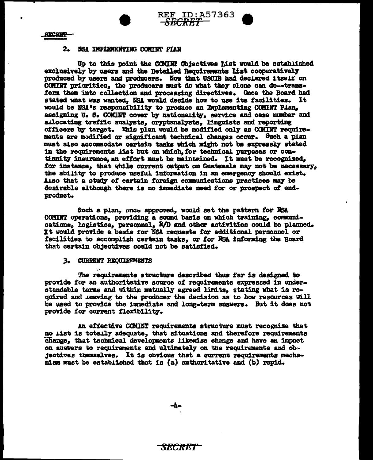



 $\mathbf{I}$ 

#### 2. NSA IMPLEMENTING COMINT PLAN

Up to this point the COMINT Objectives List would be established exclusively by users and the Detailed Requirements list cooperatively produced by users and producers. Now that USCIB had declared itself on COMINT priorities, the producers must do what they alone can do--transform them into collection and processing directives. Once the Board had stated what was wanted, NSA would decide how to use its facilities. It would be NSA's responsibility to produce an Implementing COMINT Plan, assigning U. S. COMINT cover by nationality, service and case number and atlocating traffic analysts, cryptanalysts, linguists and reporting officers by target. This plan would be modified only as COMINT requirements are modified or significant technical changes occur. Such a plan must also accommodate certain tasks which might not be expressly stated in the requirements list but on which, for technical purposes or continuity insurance, an effort must be maintained. It must be recognized, for instance, that while current output on Guatemala may not be necessary, the ability to produce useful information in an emergency should exist. Also that a study of certain foreign communications practices may be desirable although there is no immediate need for or prospect of endproduct.

**REF ID:A57363** 

Such a plan, once approved, would set the pattern for NSA COMINT operations, providing a sound basis on which training, communications, logistics, personnel, R/D and other activities could be planned. It would provide a basis for NSA requests for additional personnel or facilities to accomplish certain tasks, or for NSA informing the Board that certain objectives could not be satisfied.

#### 3. CURRENT REQUIREMENTS

The requirements structure described thus far is designed to provide for an authoritative source of requirements expressed in understandable terms and within mutually agreed limits. stating what is required and leaving to the producer the decision as to how resources will be used to provide the immediate and long-term answers. But it does not provide for current flexibility.

An effective CCMINT requirements structure must recognize that no list is totally adequate, that situations and therefore requirements Change, that technical developments likewise change and have an impact on answers to requirements and ultimately on the requirements and objectives themselves. It is obvious that a current requirements mechamism must be established that is (a) authoritative and (b) rapid.

–4⊷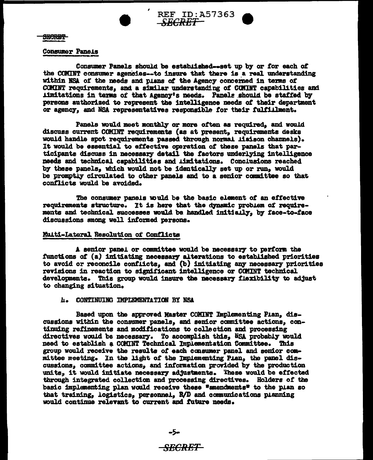

**REF ID: A57363** -SBCRBT

SECRET

#### **Consumer Panels**

Consumer Panels should be established-set up by or for each of the COMINT consumer agencies--to insure that there is a real understanding within NSA of the needs and plans of the Agency concerned in terms of COMINT requirements, and a similar understanding of COMINT capabilities and iimitations in terms of that Agency's needs. Panels should be staffed by persons authorized to represent the intelligence needs of their department or agency, and NSA representatives responsible for their fulfillment.

Panels would meet monthly or more often as required, and would discuss current COMINT requirements (as at present, requirements desks would handle spot requirements passed through normal lisison channels). It would be essential to effective operation of these panels that participants discuss in necessary detail the factors underlying intelligence needs and technical capabilities and limitations. Conclusions reached by these panels, which would not be identically set up or run, would be promptly circulated to other panels and to a senior committee so that conflicts would be avoided.

The consumer panels would be the basic element of an effective requirements structure. It is here that the dynamic problem of requirements and technical successes would be handled initially, by face-to-face discussions smong well informed persons.

#### Multi-Lateral Resolution of Conflicts

A senior panel or committee would be necessary to perform the functions of (a) initiating necessary alterations to established priorities to avoid or reconcile conflicts, and (b) initiating any necessary priorities revisions in reaction to significant intelligence or COMINT technical developments. This group would insure the necessary flaxibility to adjust to changing situation.

#### **L. CONTINUING IMPLEMENTATION BY NSA**

Based upon the approved Master COMINT Implementing Pian. discussions within the consumer panels, and senior committee actions, continuing refinements and modifications to collection and processing directives would be necessary. To accomplish this, NSA probably would need to establish a COMINT Technical Implementation Committee. This group would receive the results of each consumer panel and senior committee meeting. In the light of the Impiementing Pian, the panel discussions, committee actions, and information provided by the production units. it would initiate necessary adjustments. These would be effected through integrated collection and processing directives. Holders of the basic implementing plan would receive these "smendments" to the plan so that training, logistics, personnel, R/D and communications planning would continue relevant to current and future needs.

-5-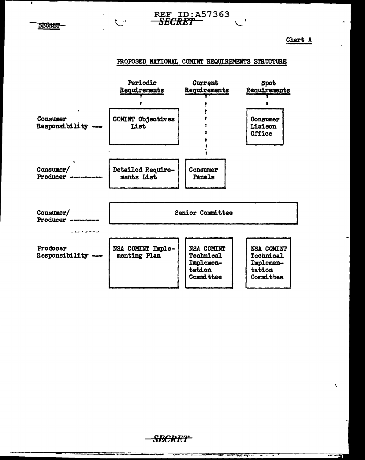**SECRET** 

Chart  $\underline{A}$ 



**REF ID:A57363** 

SECKET

 $\sim$  1



<del>SECRET -</del>

 $\frac{1}{1-\frac{1}{1-\frac{1}{1-\frac{1}{1-\frac{1}{1-\frac{1}{1-\frac{1}{1-\frac{1}{1-\frac{1}{1-\frac{1}{1-\frac{1}{1-\frac{1}{1-\frac{1}{1-\frac{1}{1-\frac{1}{1-\frac{1}{1-\frac{1}{1-\frac{1}{1-\frac{1}{1-\frac{1}{1-\frac{1}{1-\frac{1}{1-\frac{1}{1-\frac{1}{1-\frac{1}{1-\frac{1}{1-\frac{1}{1-\frac{1}{1-\frac{1}{1-\frac{1}{1-\frac{1}{1-\frac{1}{1-\frac{1}{1-\frac{1}{1-\frac{1}{1-\frac{1}{1-\frac{1$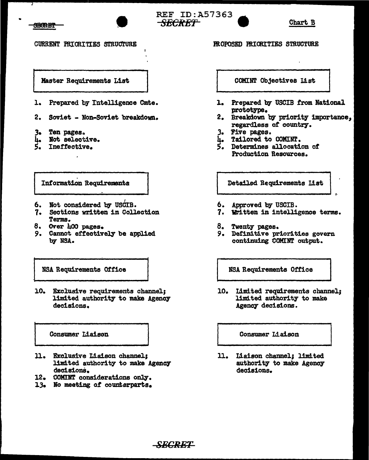





**CURRENT PRIORITIES STRUCTURE** 

Master Requirements List

- 1. Prepared by Intelligence Cmte.
- 2. Soviet Non-Soviet breakdown.
- Ten pages. 3.
- Not selective. u.
- Ineffective.

**Information Requirements** 

- 6. Not considered by USCIB.
- 7. Sections written in Collection Terms.
- 8. Over 400 pages.
- 9. Cannot effectively be applied by NSA.

NSA Requirements Office

10. Exclusive requirements channel: limited authority to make Agency decisions.

Consumer Liaison

- 11. Exclusive Liaison channel; limited authority to make Agency decisions.
- 12. COMINT considerations only.
- 13. No meeting of counterparts.

COMINT Objectives List

**PROPOSED PRIORITIES STRUCTURE** 

- 1. Prepared by USCIB from National prototype.
- 2. Breakdown by priority importance, regardless of country.
- 3. Five pages.
- 4. Tailored to COMINT.
- 5. Determines allocation of Production Resources.

Detailed Requirements List

- 6. Approved by USCIB.
- 7. Written in intelligence terms.
- 8. Twenty pages.
- 9. Definitive priorities govern continuing COMINT output.

**NSA Requirements Office** 

10. Limited requirements channel: limited authority to make Agency decisions.

Consumer Liaison

11. Liaison channel; limited authority to make Agency decisions.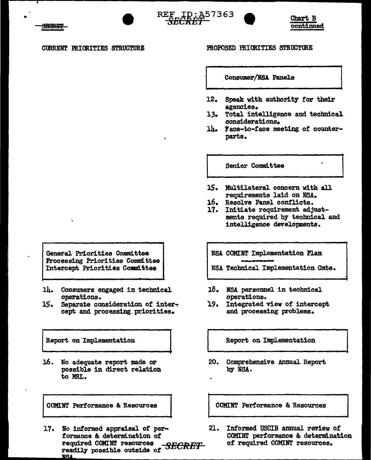**CURRENT PRIORITIES STRUCTURE** 

### PROPOSED PRIORITIES STRUCTURE

REF ID: A57363

*NEUREI* 

Consumer/NSA Panels

- $12.$ Speak with authority for their agencies.
- 13. Total intelligence and technical considerations.
- lh. Face-to-face meeting of counterparts.

Senior Committee

- 15. Multilateral concern with all requirements laid on NSA.
- 16. Resolve Panel conflicts.
- 17. Initiate requirement adjustments required by technical and intelligence developments.
	- NSA COMINT Implementation Plan
	- NSA Technical Implementation Cmte.
- 18. NSA personnel in technical operations.
- 19. Integrated view of intercept and processing problems.

Report on Implementation

20. Comprehensive Annual Report by NSA.

COMINT Performance & Resources

 $21.$ Informed USCIB annual review of COMINT performance & determination of required COMINT resources.

General Priorities Committee Processing Priorities Committee Intercept Priorities Committee

- 14. Consumers engaged in technical operations.
- 15. Separate consideration of intercept and processing priorities.

Report on Implementation

16. No adequate report made or possible in direct relation to MRI.

**COMINT Performance & Resources** 

17. No informed appraisal of performance & determination of required COMINT resources readily possible outside of SECRET **NSA** 

Chart B continued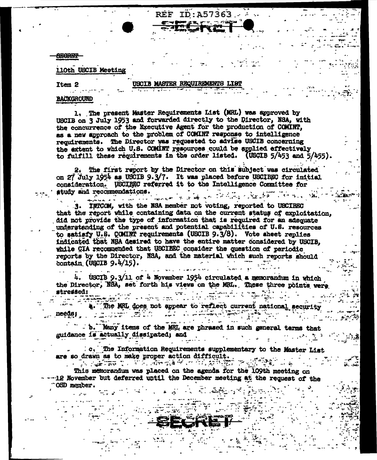**AECREP** 

Item 2

## 110th USCIB Meeting

#### **ISCIB MASTER REQUIREMENTS LIST**

 $\mathbf{REF}% _{0}\equiv\mathbf{F}+\mathbf{H}+\mathbf{H}+\mathbf{H}+\mathbf{H}+\mathbf{H}+\mathbf{H}+\mathbf{H}+\mathbf{H}+\mathbf{H}+\mathbf{H}+\mathbf{H}+\mathbf{H}+\mathbf{H}+\mathbf{H}+\mathbf{H}+\mathbf{H}+\mathbf{H}+\mathbf{H}+\mathbf{H}+\mathbf{H}+\mathbf{H}+\mathbf{H}+\mathbf{H}+\mathbf{H}+\mathbf{H}+\mathbf{H}+\mathbf{H}+\mathbf{H}+\mathbf{H}+\mathbf{H}+\mathbf{H}+\mathbf{H}+\mathbf{H}+\mathbf{H$ 

ID:A57363

### **BACKGROUND**

1. The present Master Requirements List (MRL) was approved by USCIB on 3 July 1953 and forwarded directly to the Director, NSA, with the concurrence of the Executive Agent for the production of COMINT. as a new approach to the problem of COMINT response to intelligence requirements. The Director was requested to advise USCIB concerning the extent to which U.S. COMINT resources could be applied effectively to fulfill these requirements in the order listed. (USCIB 5/453 and 5/455).

The first report by the Director on this subject was circulated on 27 July 1954 as USCIB 9.3/7. It was placed before USCIBEC for initial consideration. USCIBEC referred it to the Intelligence Committee for study and recommendations. Alan and the Albert Alan Albert and the second of the second and the second of the second of the second of the<br>Second and the second of the second of the second of the second of the second of the second of the second of th

3. INICOM, with the NSA member not voting, reported to USCIBEC that the report while containing data on the current status of exploitation, did not provide the type of information that is required for an adequate understanding of the present and potential capabilities of U.S. resources to satisfy U.S. COMINT requirements (USCIB 9.3/8). Vote sheet replies indicated that NSA desired to have the entire matter considered by USCIB. while CIA recommended that USCIEEC consider the question of periodic reports by the Director, NSA, and the material which such reports should contain (USCIB  $9.4/15$ ).

USCIB 9.3/11 of 4 November 1954 circulated a memorandum in which the Director, NSA, set forth his views on the MRL. These three points were stressed:

The MRL does not appear to reflect current national security anilist de

b. Nany items of the MRI, are phrased in such general terms that guidance is actually dissipated; and

: c. The Information Requirements supplementary to the Master List are so drawn as to make proper action difficult.

This memorandum was placed on the agenda for the 109th meeting on -12 November but deferred until the December meeting at the request of the OSD member.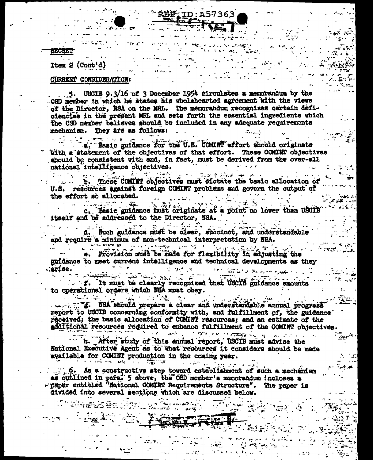# R岭产: TD: A57363

# Item  $2$  (Cont'd)

## CURRENT CONSIDERATION:

5. UBCIB 9.3/16 of 3 December 1954 circulates a memorandum by the OSD member in which he states his wholehearted agreement with the views of the Director. NSA on the MRL. The memorandum recognizes certain deficiencies in the present MRL and sets forth the essential ingredients which the OSD member believes should be included in any adequate requirements mechanism. They are as follows:

a. Basic guidance for the U.S. COMINT effort should originate Vith a statement of the objectives of that effort. These COMINT objectives should be consistent with and, in fact, must be derived from the over-all national intelligence objectives. مصادرها والمتواطن والمتواطن والمتعارض

b. These COMINT objectives must dictate the basic allocation of U.S. resources against foreign COMINT problems and govern the output of the effort so allocated.

Basic guidence must criginate at a point no lower than USCIB itself and be addressed to the Director, NSA.

바뀌는 방학 수업의 학교 수행이 d, Such guidance must be clear, succinct, and understandable and require a minimum of non-technical interpretation by NSA.

<u>sistematika kuningan ka sebagai pendadi kalimatan di kecamatan ke</u> e. Provision must be made for flexibility in adjusting the guidance to meet current intelligence and technical developments as they .arise. الواصدريو وفلات فالأ

ا تور آن المعربي الأولية المعداد المعداد<br>المعربي المعداد المعداد المعداد المعداد f. It must be clearly recognized that USCIB guidance amounts to operational orders which NSA must obey.

report to USCIB concerning conformity with, and fulfillment of, the guidance received; the basic allocation of COMINT resources; and an estimate of the additional resources required to enhance fulfillment of the COMINT objectives.

of the country of standards and an interview of h. After study of this annual report, USCIB must advise the National Executive Agent as to what resources it considers should be made available for COMINT production in the coming year.  $\label{eq:3} \alpha = \alpha \, \widehat{\Phi}^{(m)}(q) = \overline{\alpha} \, \widehat{\Phi}^{(m)}(q) \, \widehat{\Phi}^{(m)}(q)$ i in trijver

**Change** 

istri in

.6. As a constructive step toward establishment of such a mechanism as outlined in para. 5 above, the OSD member's memorandum incloses a - Baper entitled "National COMINT Requirements Structure". The paper is divided into several sections which are discussed below.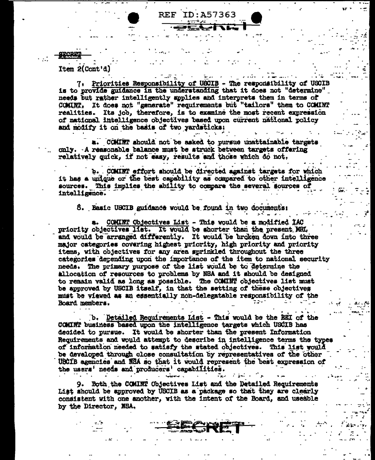Item 2(Cont'd)

7. Priorities Responsibility of USCIB - The responsibility of USCIB is to provide guidance in the understanding that it does not "determine" needs but rather intelligently applies and interprets them in terms of COMINT. It does not "generate" requirements but "tailors" them to COMINT realities. Its job, therefore, is to examine the most recent expression of national intelligence objectives based upon current national policy and modify it on the basis of two yardsticks:

ID:A57363

REF

.. COMINT should not be asked to pursue unattainable targets only. A reasonable balance must be struck between targets offering relatively quick, if not easy, results and those which do not.

b. COMINT effort should be directed against targets for which it has a unique or the best capability as compared to other intelligence sources. This implies the ability to compare the several gources of intelligence.

8. Basic USCIB guidance would be found in two documents:

COMINT Objectives List - This would be a modified IAC priority objectives list. It would be shorter than the present MRL. and would be arranged differently. It would be broken down into three major categories covering highest priority, high priority and priority items, with objectives for any area sprinkled throughout the three categories depending upon the importance of the item to national security needs. The primary purpose of the list would be to determine the allocation of resources to problems by NSA and it should be designed to remain valid as long as possible. The COMINT objectives list must be approved by USCIB itself, in that the setting of these objectives must be viewed as an essentially non-delegatable responsibility of the Board members.

b. Detailed Requirements List - This would be the REI of the COMINT business based upon the intelligence targets which USCIB has decided to pursue. It would be shorter than the present Information Requirements and would attempt to describe in intelligence terms the types of information needed to satisfy the stated objectives. This list would be developed through close consultation by representatives of the other USCIB agencies and NSA so that it would represent the best expression of the users' needs and producers' capabilities.

9. Both the COMINT Objectives List and the Detailed Requirements List should be approved by USCIB as a package so that they are clearly consistent with one another, with the intent of the Board, and useable by the Director, NSA,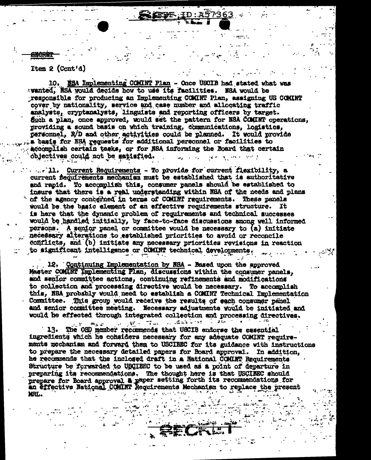Item 2 (Cont'd)

10. NSA Implementing COMINT Plan - Once USCIB had stated what was swanted. NSA would decide how to use its facilities. NSA would be responsible for producing an Implementing COMINT Plan, assigning US COMINT cover by nationality, service and case number and allocating traffic analysts, cryptanalysts, linguists and reporting officers by target. Such a plan, once approved, would set the pattern for NSA COMINT operations, providing a sound basis on which training, communications, logistics, personnel, R/D and other activities could be planned. It would provide a basis for NSA requests for additional personnel or facilities to accomplish certain tasks, or for NSA informing the Board that certain objectives could not be satisfied. **Special contracts** and the state

7363

 $\ldots$ . 11. Current Requirements - To provide for current flexibility, a current fequirements mechanism must be established that is authoritative and rapid. To accomplish this, consumer panels should be established to insure that there is a real understanding within NSA of the needs and plans of the agency concerned in terms of COMINT requirements. These panels would be the basic element of an effective requirements structure. It is here that the dynamic problem of requirements and technical successes would be handled initially, by face-to-face discussions smong well informed persons. A senior panel or committee would be necessary to (a) initiate necessary alterations to established priorities to avoid or reconcile conflicts, and (b) initiate any necessary priorities revisions in reaction to significant intelligence or COMINT technical developments.

12. Continuing Implementation by NSA - Based upon the approved Master COMINT Implementing Plan, discussions within the consumer panels, and senior committee actions, continuing refinements and modifications to collection and processing directive would be necessary. To accomplish this, NSA probably would need to establish a COMINT Technical Implementation Committee. This group would receive the results of each consumer panel and senior committee meeting. Necessary adjustments would be initiated and would be effected through integrated collection and processing directives.

WINDOWS WARD TO STATE OF THE USE OF THE USE OF THE USE OF THE TABLE  $\Rightarrow$   $\in$ The OSD member recommends that USCIB endorse the essential  $13.$ ingredients which he considers necessary for any adequate COMINT requirements mechanism and forward them to USCIBEC for its guidance with instructions to prepare the necessary detailed papers for Board approval. In addition, he recommends that the inclosed draft in a National COMINT Requirements Structure be forwarded to USCIBEC to be used as a point of departure in preparing its recommendations. The thought here is that USCIEEC should prepare for Board approval a paper setting forth its recommendations for an effective National COMINT Requirements Mechanism to replace the present MRL.